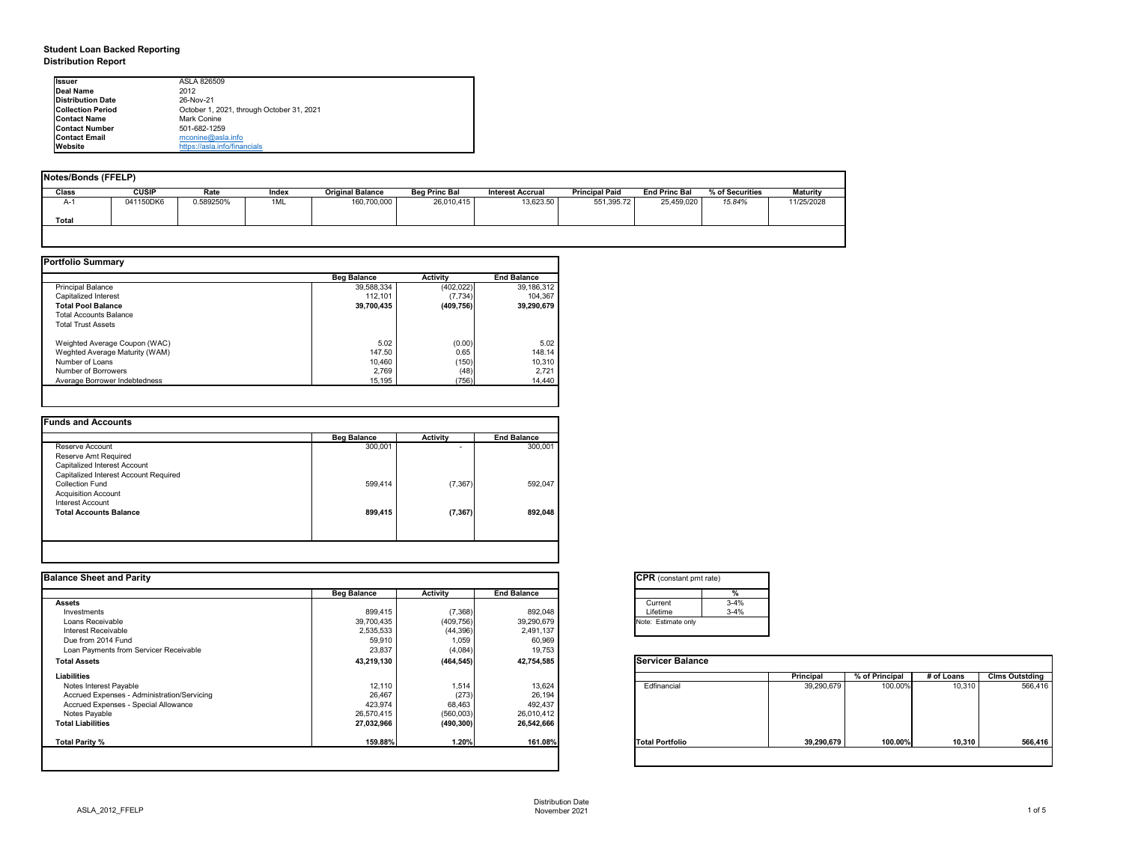## **Student Loan Backed Reporting Distribution Report**

| Notes/Bonds (FFELP) |              |           |       |                         |                      |                         |                       |                      |                 |                 |
|---------------------|--------------|-----------|-------|-------------------------|----------------------|-------------------------|-----------------------|----------------------|-----------------|-----------------|
| <b>Class</b>        | <b>CUSIP</b> | Rate      | Index | <b>Original Balance</b> | <b>Beg Princ Bal</b> | <b>Interest Accrual</b> | <b>Principal Paid</b> | <b>End Princ Bal</b> | % of Securities | <b>Maturity</b> |
| A-1                 | 041150DK6    | 0.589250% | 1ML   | 160,700,000             | 26,010,415           | 13,623.50               | 551,395.72            | 25,459,020           | 15.84%          | 11/25/2028      |
| Total               |              |           |       |                         |                      |                         |                       |                      |                 |                 |
|                     |              |           |       |                         |                      |                         |                       |                      |                 |                 |

|                                | <b>Beg Balance</b> | <b>Activity</b> | <b>End Balance</b> |
|--------------------------------|--------------------|-----------------|--------------------|
| <b>Principal Balance</b>       | 39,588,334         | (402, 022)      | 39,186,312         |
| Capitalized Interest           | 112,101            | (7, 734)        | 104,367            |
| <b>Total Pool Balance</b>      | 39,700,435         | (409, 756)      | 39,290,679         |
| <b>Total Accounts Balance</b>  |                    |                 |                    |
| <b>Total Trust Assets</b>      |                    |                 |                    |
| Weighted Average Coupon (WAC)  | 5.02               | (0.00)          | 5.02               |
| Weghted Average Maturity (WAM) | 147.50             | 0.65            | 148.14             |
| Number of Loans                | 10,460             | (150)           | 10,310             |
| Number of Borrowers            | 2,769              | (48)            | 2,721              |
| Average Borrower Indebtedness  | 15,195             | (756)           | 14,440             |

|                                       | <b>Beg Balance</b> | <b>Activity</b> | <b>End Balance</b> |
|---------------------------------------|--------------------|-----------------|--------------------|
| Reserve Account                       | 300,001            | $\blacksquare$  | 300,001            |
| Reserve Amt Required                  |                    |                 |                    |
| Capitalized Interest Account          |                    |                 |                    |
| Capitalized Interest Account Required |                    |                 |                    |
| <b>Collection Fund</b>                | 599,414            | (7, 367)        | 592,047            |
| <b>Acquisition Account</b>            |                    |                 |                    |
| Interest Account                      |                    |                 |                    |
| <b>Total Accounts Balance</b>         | 899,415            | (7, 367)        | 892,048            |
|                                       |                    |                 |                    |

| tant pmt rate) |          |
|----------------|----------|
|                | %        |
|                | $3 - 4%$ |
|                | $3 - 4%$ |
| te only        |          |

|      | <b>Principal</b> | % of Principal | # of Loans | <b>Clms Outstding</b> |  |  |
|------|------------------|----------------|------------|-----------------------|--|--|
| al   | 39,290,679       | 100.00%        | 10,310     | 566,416               |  |  |
| olio | 39,290,679       | 100.00%        | 10,310     | 566,416               |  |  |

| <b>Ilssuer</b>            | ASLA 826509                               |
|---------------------------|-------------------------------------------|
| Deal Name                 | 2012                                      |
| <b>IDistribution Date</b> | 26-Nov-21                                 |
| <b>Collection Period</b>  | October 1, 2021, through October 31, 2021 |
| <b>IContact Name</b>      | Mark Conine                               |
| <b>IContact Number</b>    | 501-682-1259                              |
| <b>Contact Email</b>      | $m$ conine@asla.info                      |
| <b>IWebsite</b>           | https://asla.info/financials              |

| <b>Balance Sheet and Parity</b>             |                    |                 |                    | <b>CPR</b> (constant pmt rate) |                  |                |            |                       |
|---------------------------------------------|--------------------|-----------------|--------------------|--------------------------------|------------------|----------------|------------|-----------------------|
|                                             | <b>Beg Balance</b> | <b>Activity</b> | <b>End Balance</b> |                                |                  |                |            |                       |
| <b>Assets</b>                               |                    |                 |                    | $3 - 4%$<br>Current            |                  |                |            |                       |
| Investments                                 | 899,415            | (7, 368)        | 892,048            | $3 - 4%$<br>Lifetime           |                  |                |            |                       |
| Loans Receivable                            | 39,700,435         | (409, 756)      | 39,290,679         | Note: Estimate only            |                  |                |            |                       |
| Interest Receivable                         | 2,535,533          | (44, 396)       | 2,491,137          |                                |                  |                |            |                       |
| Due from 2014 Fund                          | 59,910             | 1,059           | 60,969             |                                |                  |                |            |                       |
| Loan Payments from Servicer Receivable      | 23,837             | (4,084)         | 19,753             |                                |                  |                |            |                       |
| <b>Total Assets</b>                         | 43,219,130         | (464, 545)      | 42,754,585         | <b>Servicer Balance</b>        |                  |                |            |                       |
| <b>Liabilities</b>                          |                    |                 |                    |                                | <b>Principal</b> | % of Principal | # of Loans | <b>Clms Outstding</b> |
| Notes Interest Payable                      | 12,110             | 1,514           | 13,624             | Edfinancial                    | 39,290,679       | 100.00%        | 10,310     | 566,416               |
| Accrued Expenses - Administration/Servicing | 26,467             | (273)           | 26,194             |                                |                  |                |            |                       |
| Accrued Expenses - Special Allowance        | 423,974            | 68,463          | 492,437            |                                |                  |                |            |                       |
| Notes Payable                               | 26,570,415         | (560,003)       | 26,010,412         |                                |                  |                |            |                       |
| <b>Total Liabilities</b>                    | 27,032,966         | (490, 300)      | 26,542,666         |                                |                  |                |            |                       |
| Total Parity %                              | 159.88%            | 1.20%           | 161.08%            | <b>Total Portfolio</b>         | 39,290,679       | 100.00%        | 10,310     | 566,416               |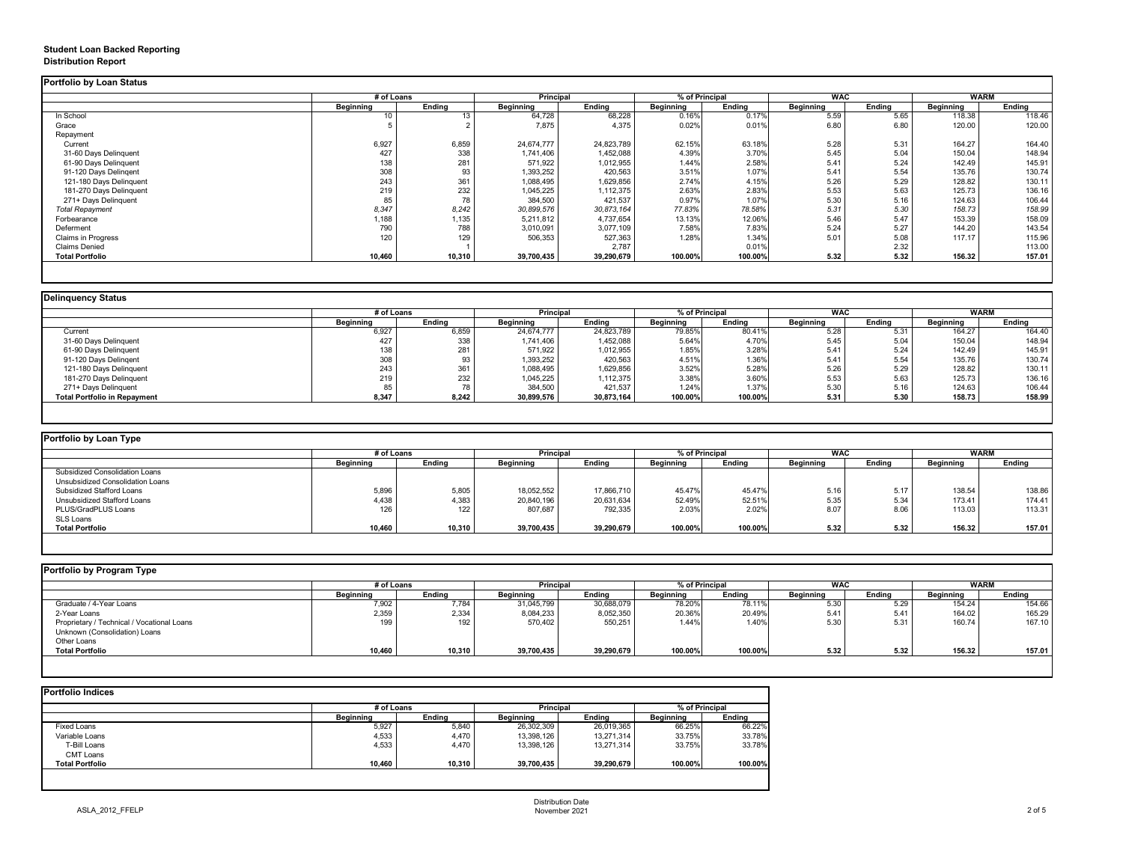## **Student Loan Backed Reporting Distribution Report**

### **Delinquency Status**

|                           | # of Loans       |               | <b>Principal</b> |               | % of Principal   |               | <b>WAC</b>       |               | <b>WARM</b>      |               |
|---------------------------|------------------|---------------|------------------|---------------|------------------|---------------|------------------|---------------|------------------|---------------|
|                           | <b>Beginning</b> | <b>Ending</b> | <b>Beginning</b> | <b>Ending</b> | <b>Beginning</b> | <b>Ending</b> | <b>Beginning</b> | <b>Ending</b> | <b>Beginning</b> | <b>Ending</b> |
| In School                 | 10               |               | 64,728           | 68,228        | 0.16%            | 0.17%         | 5.59             | 5.65          | 118.38           | 118.46        |
| Grace                     |                  |               | 7,875            | 4,375         | 0.02%            | 0.01%         | 6.80             | 6.80          | 120.00           | 120.00        |
| Repayment                 |                  |               |                  |               |                  |               |                  |               |                  |               |
| Current                   | 6,927            | 6,859         | 24,674,777       | 24,823,789    | 62.15%           | 63.18%        | 5.28             | 5.31          | 164.27           | 164.40        |
| 31-60 Days Delinquent     | 427              | 338           | 1,741,406        | 1,452,088     | 4.39%            | 3.70%         | 5.45             | 5.04          | 150.04           | 148.94        |
| 61-90 Days Delinquent     | 138              | 281           | 571,922          | 1,012,955     | 1.44%            | 2.58%         | 5.41             | 5.24          | 142.49           | 145.91        |
| 91-120 Days Delingent     | 308              | 93            | 1,393,252        | 420,563       | 3.51%            | 1.07%         | 5.41             | 5.54          | 135.76           | 130.74        |
| 121-180 Days Delinquent   | 243              | 361           | 1,088,495        | 1,629,856     | 2.74%            | 4.15%         | 5.26             | 5.29          | 128.82           | 130.11        |
| 181-270 Days Delinquent   | 219              | 232           | 1,045,225        | 1,112,375     | 2.63%            | 2.83%         | 5.53             | 5.63          | 125.73           | 136.16        |
| 271+ Days Delinquent      | 85               | 78            | 384,500          | 421,537       | 0.97%            | 1.07%         | 5.30             | 5.16          | 124.63           | 106.44        |
| <b>Total Repayment</b>    | 8,347            | 8,242         | 30,899,576       | 30,873,164    | 77.83%           | 78.58%        | 5.31             | 5.30          | 158.73           | 158.99        |
| Forbearance               | 1,188            | 1,135         | 5,211,812        | 4,737,654     | 13.13%           | 12.06%        | 5.46             | 5.47          | 153.39           | 158.09        |
| Deferment                 | 790              | 788           | 3,010,091        | 3,077,109     | 7.58%            | 7.83%         | 5.24             | 5.27          | 144.20           | 143.54        |
| <b>Claims in Progress</b> | 120              | 129           | 506,353          | 527,363       | 1.28%            | 1.34%         | 5.01             | 5.08          | 117.17           | 115.96        |
| <b>Claims Denied</b>      |                  |               |                  | 2,787         |                  | 0.01%         |                  | 2.32          |                  | 113.00        |
| <b>Total Portfolio</b>    | 10,460           | 10,310        | 39,700,435       | 39,290,679    | 100.00%          | 100.00%       | 5.32             | 5.32          | 156.32           | 157.01        |

|                                     | # of Loans       |               |                  | <b>Principal</b> |                  | % of Principal |                  | <b>WAC</b>    |                  | <b>WARM</b>   |  |
|-------------------------------------|------------------|---------------|------------------|------------------|------------------|----------------|------------------|---------------|------------------|---------------|--|
|                                     | <b>Beginning</b> | <b>Ending</b> | <b>Beginning</b> | Ending           | <b>Beginning</b> | <b>Ending</b>  | <b>Beginning</b> | <b>Ending</b> | <b>Beginning</b> | <b>Ending</b> |  |
| Current                             | 6,927            | 6,859         | 24,674,777       | 24,823,789       | 79.85%           | 80.41%         | 5.28             | 5.31          | 164.27           | 164.40        |  |
| 31-60 Days Delinquent               | 427              | 338           | 1,741,406        | 1,452,088        | 5.64%            | 4.70%          | 5.45             | 5.04          | 150.04           | 148.94        |  |
| 61-90 Days Delinquent               | 138              | 281           | 571,922          | 1,012,955        | 1.85%            | 3.28%          | 5.41             | 5.24          | 142.49           | 145.91        |  |
| 91-120 Days Delinqent               | 308              | 93            | 1,393,252        | 420,563          | 4.51%            | 1.36%          | 5.41             | 5.54          | 135.76           | 130.74        |  |
| 121-180 Days Delinquent             | 243              | 261<br>ו טכ   | 1,088,495        | 1,629,856        | 3.52%            | 5.28%          | 5.26             | 5.29          | 128.82           | 130.11        |  |
| 181-270 Days Delinquent             | 219              | 232           | 1,045,225        | 1,112,375        | 3.38%            | 3.60%          | 5.53             | 5.63          | 125.73           | 136.16        |  |
| 271+ Days Delinquent                | 85               | 70            | 384,500          | 421,537          | 1.24%            | 1.37%          | 5.30             | 5.16          | 124.63           | 106.44        |  |
| <b>Total Portfolio in Repayment</b> | 8,347            | 8,242         | 30,899,576       | 30,873,164       | 100.00%          | 100.00%        | 5.31             | 5.30          | 158.73           | 158.99        |  |

| ortfolio by Loan Type                 |                  |               |                  |               |                  |               |                  |               |                  |               |
|---------------------------------------|------------------|---------------|------------------|---------------|------------------|---------------|------------------|---------------|------------------|---------------|
|                                       | # of Loans       |               | <b>Principal</b> |               | % of Principal   |               | <b>WAC</b>       |               | <b>WARM</b>      |               |
|                                       | <b>Beginning</b> | <b>Ending</b> | <b>Beginning</b> | <b>Ending</b> | <b>Beginning</b> | <b>Ending</b> | <b>Beginning</b> | <b>Ending</b> | <b>Beginning</b> | <b>Ending</b> |
| <b>Subsidized Consolidation Loans</b> |                  |               |                  |               |                  |               |                  |               |                  |               |
| Unsubsidized Consolidation Loans      |                  |               |                  |               |                  |               |                  |               |                  |               |
| <b>Subsidized Stafford Loans</b>      | 5,896            | 5,805         | 18,052,552       | 17,866,710    | 45.47%           | 45.47%        | 5.16             | 5.17          | 138.54           | 138.86        |
| <b>Unsubsidized Stafford Loans</b>    | 4,438            | 4,383         | 20,840,196       | 20,631,634    | 52.49%           | 52.51%        | 5.35             | 5.34          | 173.41           | 174.41        |
| PLUS/GradPLUS Loans                   | 126              | 122           | 807,687          | 792,335       | 2.03%            | 2.02%         | 8.07             | 8.06          | 113.03           | 113.31        |
| SLS Loans                             |                  |               |                  |               |                  |               |                  |               |                  |               |
| <b>Total Portfolio</b>                | 10,460           | 10,310        | 39,700,435       | 39,290,679    | 100.00%          | 100.00%       | 5.32             | 5.32          | 156.32           | 157.01        |

| Portfolio by Program Type                  |                  |               |                                    |               |                  |               |                  |               |                  |               |
|--------------------------------------------|------------------|---------------|------------------------------------|---------------|------------------|---------------|------------------|---------------|------------------|---------------|
|                                            | # of Loans       |               | <b>Principal</b><br>% of Principal |               | <b>WAC</b>       |               |                  | <b>WARM</b>   |                  |               |
|                                            | <b>Beginning</b> | <b>Ending</b> | <b>Beginning</b>                   | <b>Ending</b> | <b>Beginning</b> | <b>Ending</b> | <b>Beginning</b> | <b>Ending</b> | <b>Beginning</b> | <b>Ending</b> |
| Graduate / 4-Year Loans                    | 7,902            | 7,784         | 31,045,799                         | 30,688,079    | 78.20%           | 78.11%        | 5.30             | 5.29          | 154.24           | 154.66        |
| 2-Year Loans                               | 2,359            | 2,334         | 8,084,233                          | 8,052,350     | 20.36%           | 20.49%        | 5.41             | 5.41          | 164.02           | 165.29        |
| Proprietary / Technical / Vocational Loans | 199              | 192           | 570,402                            | 550,251       | 1.44%            | 1.40%         | 5.30             | 5.31          | 160.74           | 167.10        |
| Unknown (Consolidation) Loans              |                  |               |                                    |               |                  |               |                  |               |                  |               |
| Other Loans                                |                  |               |                                    |               |                  |               |                  |               |                  |               |
| <b>Total Portfolio</b>                     | 10,460           | 10,310        | 39,700,435                         | 39,290,679    | 100.00%          | 100.00%       | 5.32             | 5.32          | 156.32           | 157.01        |
|                                            |                  |               |                                    |               |                  |               |                  |               |                  |               |

|                        | # of Loans       | <b>Principal</b> |                  | % of Principal |                  |               |
|------------------------|------------------|------------------|------------------|----------------|------------------|---------------|
|                        | <b>Beginning</b> | <b>Ending</b>    | <b>Beginning</b> | <b>Ending</b>  | <b>Beginning</b> | <b>Ending</b> |
| <b>Fixed Loans</b>     | 5,927            | 5,840            | 26,302,309       | 26,019,365     | 66.25%           | 66.22%        |
| Variable Loans         | 4,533            | 4,470            | 13,398,126       | 13,271,314     | 33.75%           | 33.78%        |
| T-Bill Loans           | 4,533            | 4,470            | 13,398,126       | 13,271,314     | 33.75%           | 33.78%        |
| <b>CMT Loans</b>       |                  |                  |                  |                |                  |               |
| <b>Total Portfolio</b> | 10,460           | 10,310           | 39,700,435       | 39,290,679     | 100.00%          | 100.00%       |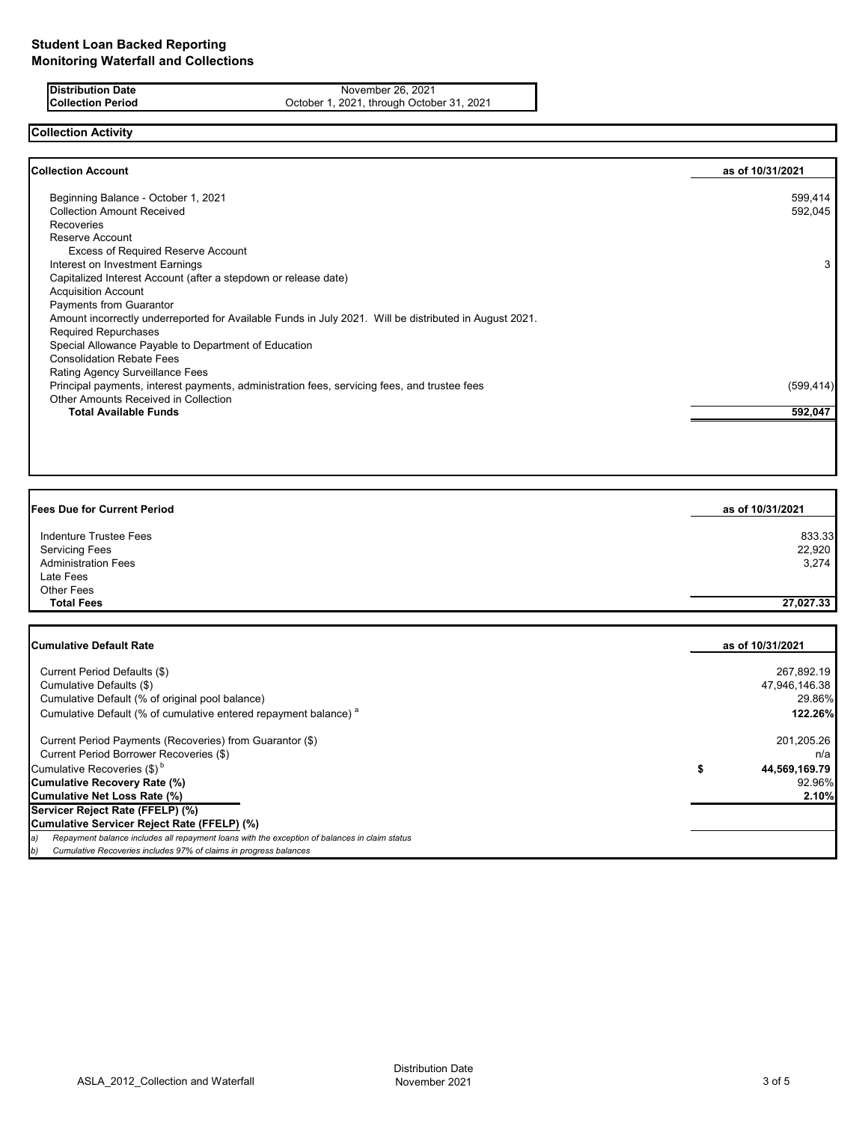**Distribution Date** November 26, 2021<br>**Collection Period** Collection Certification Collection Certification Certification Certification Certification C October 1, 2021, through October 31, 2021

# **Collection Activity**

 $\overline{\phantom{a}}$ 

| <b>Collection Account</b>                                                                              | as of 10/31/2021 |
|--------------------------------------------------------------------------------------------------------|------------------|
| Beginning Balance - October 1, 2021                                                                    | 599,414          |
| <b>Collection Amount Received</b>                                                                      | 592,045          |
| <b>Recoveries</b>                                                                                      |                  |
| Reserve Account                                                                                        |                  |
| <b>Excess of Required Reserve Account</b>                                                              |                  |
| Interest on Investment Earnings                                                                        | 3                |
| Capitalized Interest Account (after a stepdown or release date)                                        |                  |
| <b>Acquisition Account</b>                                                                             |                  |
| <b>Payments from Guarantor</b>                                                                         |                  |
| Amount incorrectly underreported for Available Funds in July 2021. Will be distributed in August 2021. |                  |
| <b>Required Repurchases</b>                                                                            |                  |
| Special Allowance Payable to Department of Education                                                   |                  |
| <b>Consolidation Rebate Fees</b>                                                                       |                  |
| Rating Agency Surveillance Fees                                                                        |                  |
| Principal payments, interest payments, administration fees, servicing fees, and trustee fees           | (599, 414)       |
| <b>Other Amounts Received in Collection</b>                                                            |                  |
| <b>Total Available Funds</b>                                                                           | 592,047          |

| <b>Fees Due for Current Period</b> | as of 10/31/2021 |
|------------------------------------|------------------|
| Indenture Trustee Fees             | 833.33           |
| <b>Servicing Fees</b>              | 22,920           |
| <b>Administration Fees</b>         | 3,274            |
| Late Fees                          |                  |
| Other Fees                         |                  |
| <b>Total Fees</b>                  | 27,027.33        |

| <b>Cumulative Default Rate</b>                                                                | as of 10/31/2021 |
|-----------------------------------------------------------------------------------------------|------------------|
| Current Period Defaults (\$)                                                                  | 267,892.19       |
| Cumulative Defaults (\$)                                                                      | 47,946,146.38    |
| Cumulative Default (% of original pool balance)                                               | 29.86%           |
| Cumulative Default (% of cumulative entered repayment balance) <sup>a</sup>                   | 122.26%          |
| Current Period Payments (Recoveries) from Guarantor (\$)                                      | 201,205.26       |
| Current Period Borrower Recoveries (\$)                                                       | n/a              |
| Cumulative Recoveries (\$) <sup>b</sup>                                                       | 44,569,169.79    |
| <b>Cumulative Recovery Rate (%)</b>                                                           | 92.96%           |
| <b>Cumulative Net Loss Rate (%)</b>                                                           | 2.10%            |
| Servicer Reject Rate (FFELP) (%)                                                              |                  |
| Cumulative Servicer Reject Rate (FFELP) (%)                                                   |                  |
| Repayment balance includes all repayment loans with the exception of balances in claim status |                  |
| Cumulative Recoveries includes 97% of claims in progress balances<br>D)                       |                  |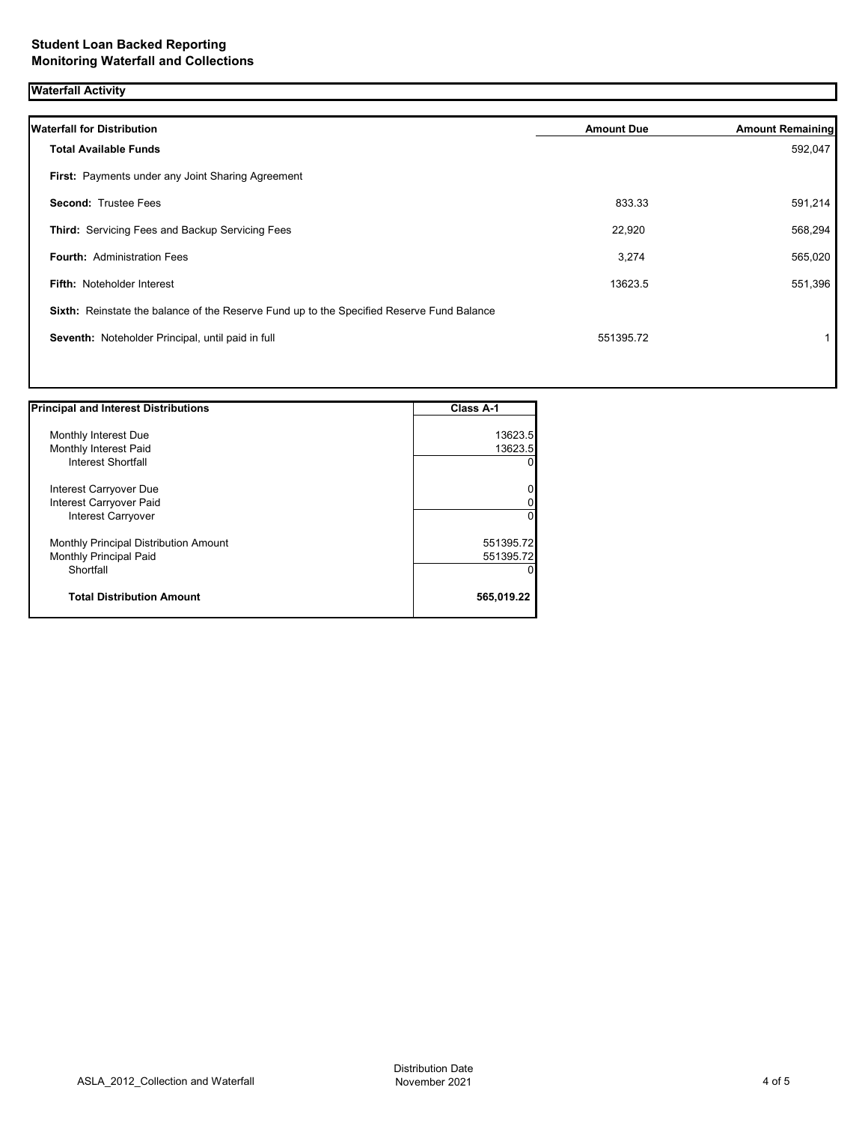## **Waterfall Activity**

| <b>Waterfall for Distribution</b>                                                         | <b>Amount Due</b> | <b>Amount Remaining</b> |
|-------------------------------------------------------------------------------------------|-------------------|-------------------------|
| <b>Total Available Funds</b>                                                              |                   | 592,047                 |
| First: Payments under any Joint Sharing Agreement                                         |                   |                         |
| <b>Second: Trustee Fees</b>                                                               | 833.33            | 591,214                 |
| Third: Servicing Fees and Backup Servicing Fees                                           | 22,920            | 568,294                 |
| <b>Fourth: Administration Fees</b>                                                        | 3,274             | 565,020                 |
| <b>Fifth: Noteholder Interest</b>                                                         | 13623.5           | 551,396                 |
| Sixth: Reinstate the balance of the Reserve Fund up to the Specified Reserve Fund Balance |                   |                         |
| Seventh: Noteholder Principal, until paid in full                                         | 551395.72         |                         |
|                                                                                           |                   |                         |

| <b>Principal and Interest Distributions</b> | <b>Class A-1</b> |
|---------------------------------------------|------------------|
|                                             |                  |
| Monthly Interest Due                        | 13623.5          |
| Monthly Interest Paid                       | 13623.5          |
| Interest Shortfall                          | 01               |
| Interest Carryover Due                      | 0                |
| Interest Carryover Paid                     | 0                |
| Interest Carryover                          | $\Omega$         |
| Monthly Principal Distribution Amount       | 551395.72        |
| <b>Monthly Principal Paid</b>               | 551395.72        |
| Shortfall                                   | Ω                |
| <b>Total Distribution Amount</b>            | 565,019.22       |